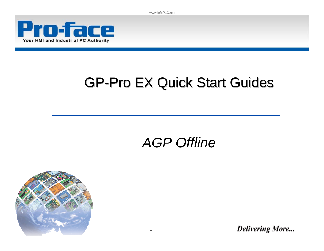www.infoPLC.net



# **GP-Pro EX Quick Start Guides**

# *AGP Offline*

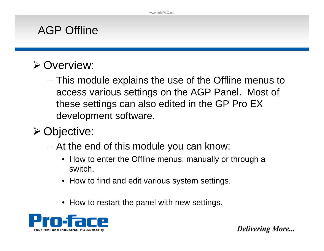#### AGP Offline

#### ¾ Overview:

– This module explains the use of the Offline menus to access various settings on the AGP Panel. Most of these settings can also edited in the GP Pro EX development software.

# ¾ Objective:

- At the end of this module you can know:
	- How to enter the Offline menus; manually or through a switch.
	- How to find and edit various system settings.
	- How to restart the panel with new settings.

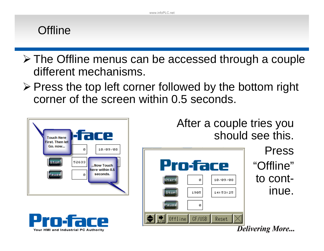#### **Offline**

- ¾ The Offline menus can be accessed through a couple different mechanisms.
- ¾ Press the top left corner followed by the bottom right corner of the screen within 0.5 seconds.







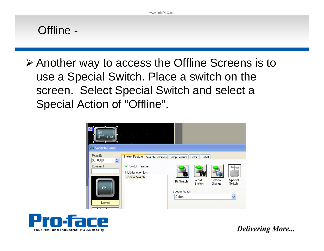

¾ Another way to access the Offline Screens is to use a Special Switch. Place a switch on the screen. Select Special Switch and select a Special Action of "Offline".



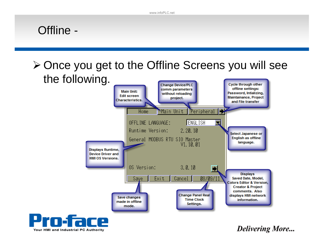#### Offline -

Your HMI and Industrial PC Authority

¾ Once you get to the Offline Screens you will see the following.

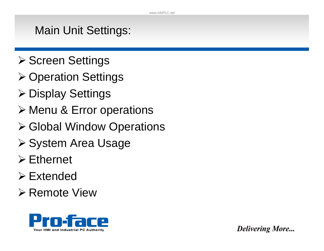## Main Unit Settings:

- **≻ Screen Settings**
- ¾ Operation Settings
- ¾ Display Settings
- ¾ Menu & Error operations
- ¾ Global Window Operations
- ¾ System Area Usage
- $\triangleright$  Ethernet
- $\triangleright$  Extended
- ¾ Remote View

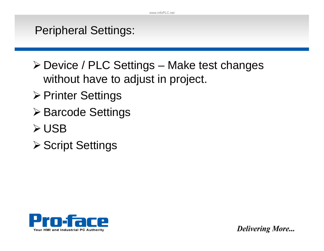#### Peripheral Settings:

- ¾ Device / PLC Settings Make test changes without have to adjust in project.
- ¾ Printer Settings
- ¾ Barcode Settings
- ¾ USB
- **≻ Script Settings**

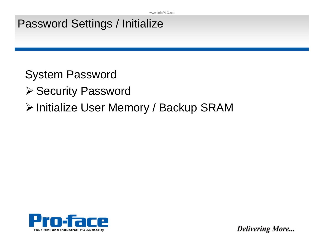## Password Settings / Initialize

System Password

- ¾ Security Password
- ¾ Initialize User Memory / Backup SRAM

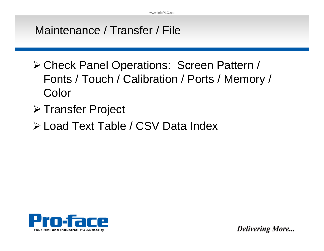## Maintenance / Transfer / File

- ¾ Check Panel Operations: Screen Pattern / Fonts / Touch / Calibration / Ports / Memory / Color
- ¾ Transfer Project
- ¾ Load Text Table / CSV Data Index

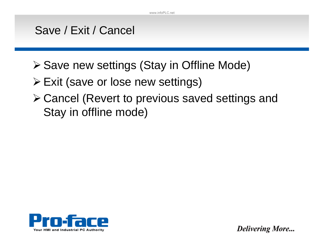#### Save / Exit / Cancel

- ¾ Save new settings (Stay in Offline Mode)
- ¾ Exit (save or lose new settings)
- ¾ Cancel (Revert to previous saved settings and Stay in offline mode)